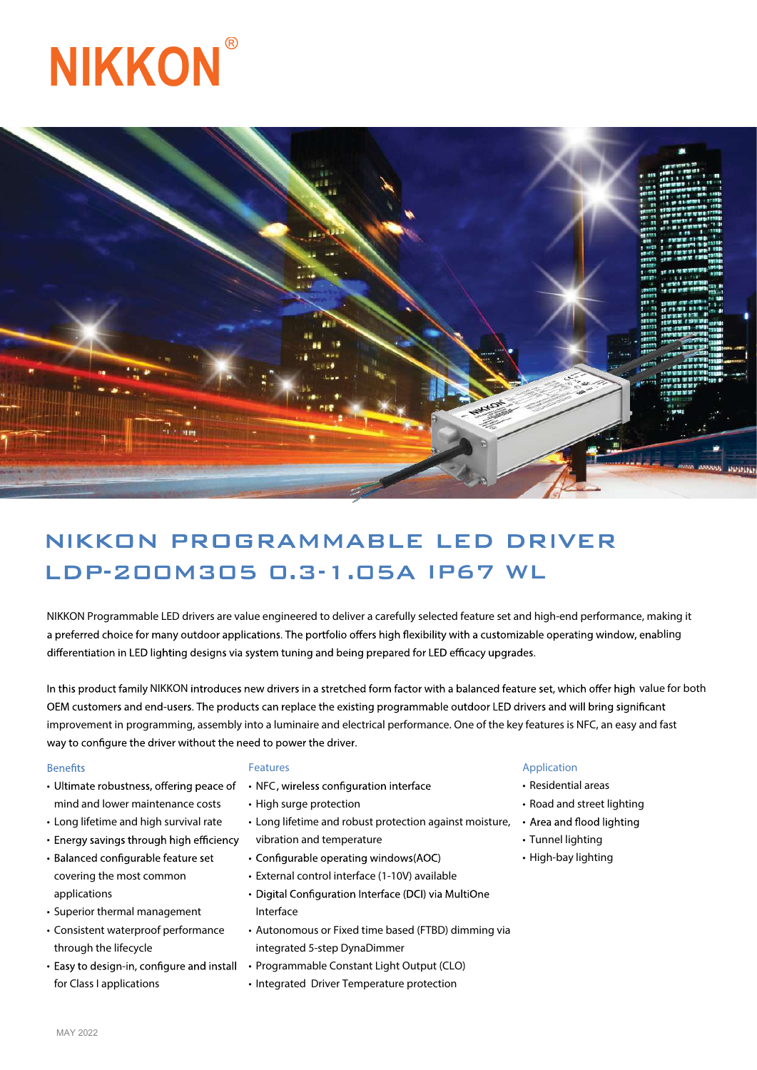



# NIKKON PROGRAMMABLE LED DRIVER LDP-200M305 0.3-1.05A IP67 WL

NIKKON Programmable LED drivers are value engineered to deliver a carefully selected feature set and high-end performance, making it a preferred choice for many outdoor applications. The portfolio offers high flexibility with a customizable operating window, enabling differentiation in LED lighting designs via system tuning and being prepared for LED efficacy upgrades.

In this product family NIKKON introduces new drivers in a stretched form factor with a balanced feature set, which offer high value for both OEM customers and end-users. The products can replace the existing programmable outdoor LED drivers and will bring significant improvement in programming, assembly into a luminaire and electrical performance. One of the key features is NFC, an easy and fast way to configure the driver without the need to power the driver.

#### **Benefits**

- Ultimate robustness, offering peace of NFC mind and lower maintenance costs
- Long lifetime and high survival rate
- Energy savings through high efficiency
- Balanced configurable feature set covering the most common applications
- Superior thermal management
- Consistent waterproof performance through the lifecycle
- Easy to design-in, configure and install for Class I applications

#### **Features**

- 
- High surge protection
- Long lifetime and robust protection against moisture, vibration and temperature
- Configurable operating windows(AOC)
- External control interface (1-10V) available
- Digital Configuration Interface (DCI) via MultiOne Interface
- Autonomous or Fixed time based (FTBD) dimming via integrated 5-step DynaDimmer
- Programmable Constant Light Output (CLO)
- Integrated Driver Temperature protection

#### **Application**

- Residential areas
- Road and street lighting
- Area and flood lighting
- Tunnel lighting
- High-bay lighting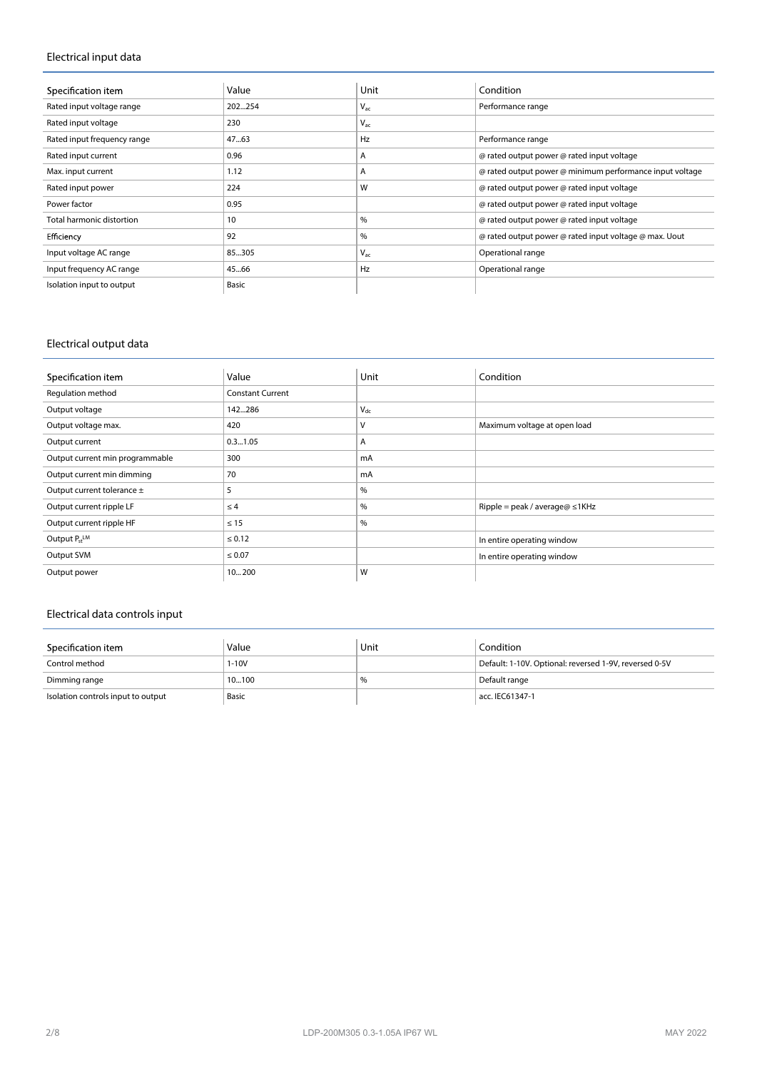## **Electrical input data**

| Specification item               | Value  | Unit     | Condition                                                |
|----------------------------------|--------|----------|----------------------------------------------------------|
| Rated input voltage range        | 202254 | $V_{ac}$ | Performance range                                        |
| Rated input voltage              | 230    | $V_{ac}$ |                                                          |
| Rated input frequency range      | 47.63  | Hz       | Performance range                                        |
| Rated input current              | 0.96   | A        | @ rated output power @ rated input voltage               |
| Max. input current               | 1.12   | A        | @ rated output power @ minimum performance input voltage |
| Rated input power                | 224    | W        | @ rated output power @ rated input voltage               |
| Power factor                     | 0.95   |          | @ rated output power @ rated input voltage               |
| <b>Total harmonic distortion</b> | 10     | %        | @ rated output power @ rated input voltage               |
| Efficiency                       | 92     | $\%$     | @ rated output power @ rated input voltage @ max. Uout   |
| Input voltage AC range           | 85305  | $V_{ac}$ | Operational range                                        |
| Input frequency AC range         | 45.66  | Hz       | Operational range                                        |
| Isolation input to output        | Basic  |          |                                                          |

## **Electrical output data**

| Specification item              | Value                   | Unit     | Condition                            |
|---------------------------------|-------------------------|----------|--------------------------------------|
| Regulation method               | <b>Constant Current</b> |          |                                      |
| Output voltage                  | 142286                  | $V_{dc}$ |                                      |
| Output voltage max.             | 420                     | ν        | Maximum voltage at open load         |
| Output current                  | 0.31.05                 | A        |                                      |
| Output current min programmable | 300                     | mA       |                                      |
| Output current min dimming      | 70                      | mA       |                                      |
| Output current tolerance ±      | 5                       | $\%$     |                                      |
| Output current ripple LF        | $\leq 4$                | $\%$     | Ripple = peak / average@ $\leq$ 1KHz |
| Output current ripple HF        | $\leq 15$               | $\%$     |                                      |
| Output $P_{st}$ <sup>LM</sup>   | $\leq 0.12$             |          | In entire operating window           |
| Output SVM                      | $\leq 0.07$             |          | In entire operating window           |
| Output power                    | 10200                   | W        |                                      |

# **Electrical data controls input**

| Specification item                 | Value  | Unit | Condition                                              |
|------------------------------------|--------|------|--------------------------------------------------------|
| Control method                     | $-10V$ |      | Default: 1-10V. Optional: reversed 1-9V, reversed 0-5V |
| Dimming range                      | 10100  | %    | Default range                                          |
| Isolation controls input to output | Basic  |      | acc. IEC61347-1                                        |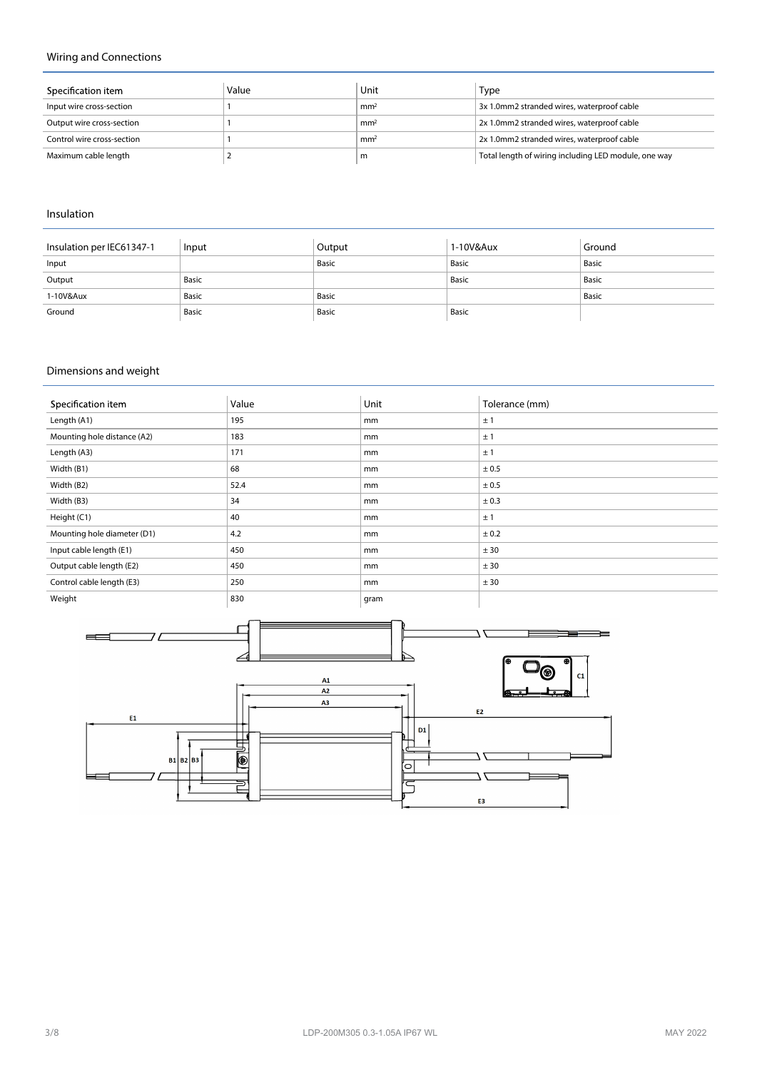## **Wiring and Connections**

| Specification item         | Value | Unit            | Type                                                 |
|----------------------------|-------|-----------------|------------------------------------------------------|
| Input wire cross-section   |       | mm <sup>2</sup> | 3x 1.0mm2 stranded wires, waterproof cable           |
| Output wire cross-section  |       | mm <sup>2</sup> | 2x 1.0mm2 stranded wires, waterproof cable           |
| Control wire cross-section |       | mm <sup>2</sup> | 2x 1.0mm2 stranded wires, waterproof cable           |
| Maximum cable length       |       | m               | Total length of wiring including LED module, one way |

### **Insulation**

| Insulation per IEC61347-1 | Input | Output | 1-10V&Aux | Ground |
|---------------------------|-------|--------|-----------|--------|
| Input                     |       | Basic  | Basic     | Basic  |
| Output                    | Basic |        | Basic     | Basic  |
| 1-10V&Aux                 | Basic | Basic  |           | Basic  |
| Ground                    | Basic | Basic  | Basic     |        |

# **Dimensions and weight**

| Specification item          | Value | Unit | Tolerance (mm) |
|-----------------------------|-------|------|----------------|
| Length (A1)                 | 195   | mm   | ±1             |
| Mounting hole distance (A2) | 183   | mm   | ±1             |
| Length (A3)                 | 171   | mm   | ±1             |
| Width (B1)                  | 68    | mm   | ± 0.5          |
| Width (B2)                  | 52.4  | mm   | ± 0.5          |
| Width (B3)                  | 34    | mm   | ± 0.3          |
| Height (C1)                 | 40    | mm   | ±1             |
| Mounting hole diameter (D1) | 4.2   | mm   | ± 0.2          |
| Input cable length (E1)     | 450   | mm   | ± 30           |
| Output cable length (E2)    | 450   | mm   | ± 30           |
| Control cable length (E3)   | 250   | mm   | ± 30           |
| Weight                      | 830   | gram |                |

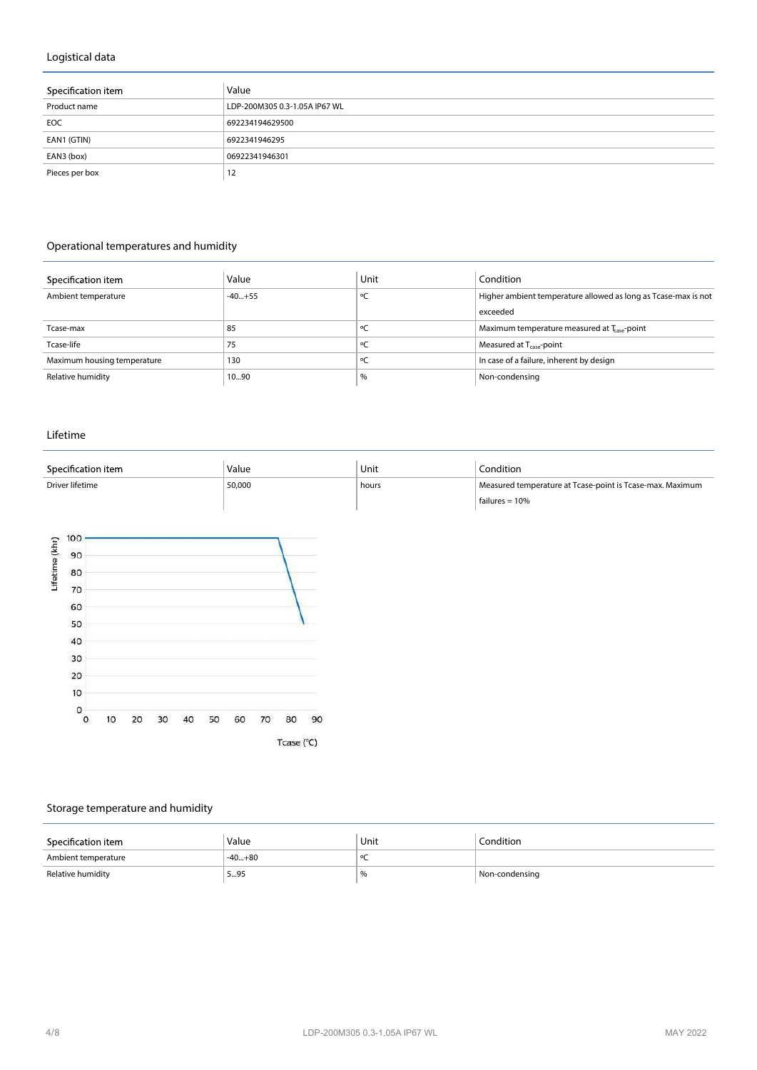## **Logistical data**

| Specification item | Value                         |
|--------------------|-------------------------------|
| Product name       | LDP-200M305 0.3-1.05A IP67 WL |
| EOC                | 692234194629500               |
| EAN1 (GTIN)        | 6922341946295                 |
| EAN3 (box)         | 06922341946301                |
| Pieces per box     | 12                            |

# **Operational temperatures and humidity**

| Specification item          | Value    | Unit | Condition                                                      |
|-----------------------------|----------|------|----------------------------------------------------------------|
| Ambient temperature         | $-40+55$ |      | Higher ambient temperature allowed as long as Tcase-max is not |
|                             |          |      | exceeded                                                       |
| Tcase-max                   | 85       |      | Maximum temperature measured at T <sub>ase</sub> -point        |
| Tcase-life                  | 75       |      | Measured at T <sub>case</sub> -point                           |
| Maximum housing temperature | 130      |      | In case of a failure, inherent by design                       |
| Relative humidity           | 1090     | %    | Non-condensing                                                 |

#### **Lifetime**

| Specification item | Value  | Unit  | Condition                                                 |
|--------------------|--------|-------|-----------------------------------------------------------|
| Driver lifetime    | 50,000 | hours | Measured temperature at Tcase-point is Tcase-max. Maximum |
|                    |        |       | failures = $10%$                                          |



# **Storage temperature and humidity**

| Specification item  | Value    | Unit | Condition      |
|---------------------|----------|------|----------------|
| Ambient temperature | $-40+80$ |      |                |
| Relative humidity   | 595      | %    | Non-condensing |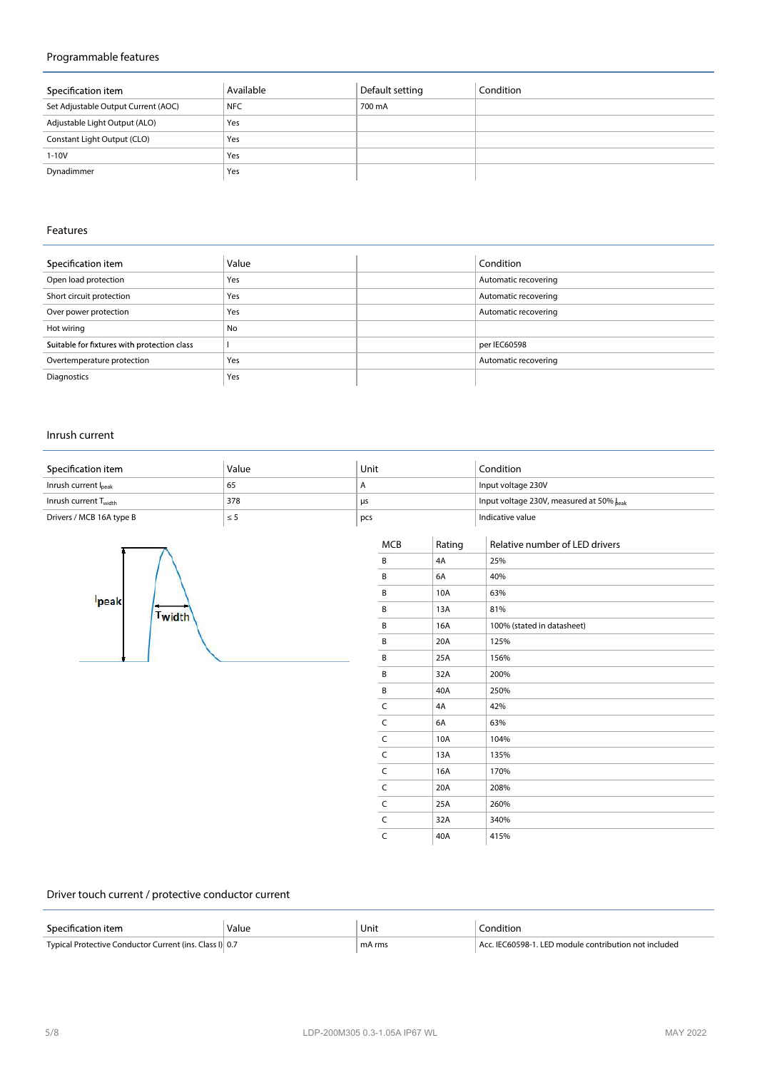## **Programmable features**

| Specification item                  | Available  | Default setting | Condition |
|-------------------------------------|------------|-----------------|-----------|
| Set Adjustable Output Current (AOC) | <b>NFC</b> | 700 mA          |           |
| Adjustable Light Output (ALO)       | Yes        |                 |           |
| Constant Light Output (CLO)         | Yes        |                 |           |
| $1 - 10V$                           | Yes        |                 |           |
| Dynadimmer                          | Yes        |                 |           |

## **Features**

| Specification item                          | Value     | Condition            |
|---------------------------------------------|-----------|----------------------|
| Open load protection                        | Yes       | Automatic recovering |
| Short circuit protection                    | Yes       | Automatic recovering |
| Over power protection                       | Yes       | Automatic recovering |
| Hot wiring                                  | <b>No</b> |                      |
| Suitable for fixtures with protection class |           | per IEC60598         |
| Overtemperature protection                  | Yes       | Automatic recovering |
| Diagnostics                                 | Yes       |                      |

#### **Inrush current**

| Specification item                | Value | Unit | Condition                                |
|-----------------------------------|-------|------|------------------------------------------|
| Inrush current l <sub>peak</sub>  | 65    |      | Input voltage 230V                       |
| Inrush current T <sub>width</sub> | 378   | μs   | Input voltage 230V, measured at 50% leak |
| Drivers / MCB 16A type B          | ≤5    | pcs  | Indicative value                         |



|              |        | Indicative value               |
|--------------|--------|--------------------------------|
| <b>MCB</b>   | Rating | Relative number of LED drivers |
| B            | 4A     | 25%                            |
| В            | 6A     | 40%                            |
| B            | 10A    | 63%                            |
| B            | 13A    | 81%                            |
| B            | 16A    | 100% (stated in datasheet)     |
| B            | 20A    | 125%                           |
| B            | 25A    | 156%                           |
| В            | 32A    | 200%                           |
| B            | 40A    | 250%                           |
| C            | 4A     | 42%                            |
| C            | 6A     | 63%                            |
| $\mathsf{C}$ | 10A    | 104%                           |
| $\mathsf C$  | 13A    | 135%                           |
| C            | 16A    | 170%                           |
| $\mathsf{C}$ | 20A    | 208%                           |
| $\mathsf{C}$ | 25A    | 260%                           |
| C            | 32A    | 340%                           |
| C            | 40A    | 415%                           |

#### **Driver touch current / protective conductor current**

| Specification item                                      | Value<br>. | ' Unit<br>$\sim$ $\sim$ | <u>onditio</u>                                  |
|---------------------------------------------------------|------------|-------------------------|-------------------------------------------------|
| Typical Protective Conductor Current (ins. Class I) 0.7 |            | mA rms                  | 060598-1. LED module contribution not included. |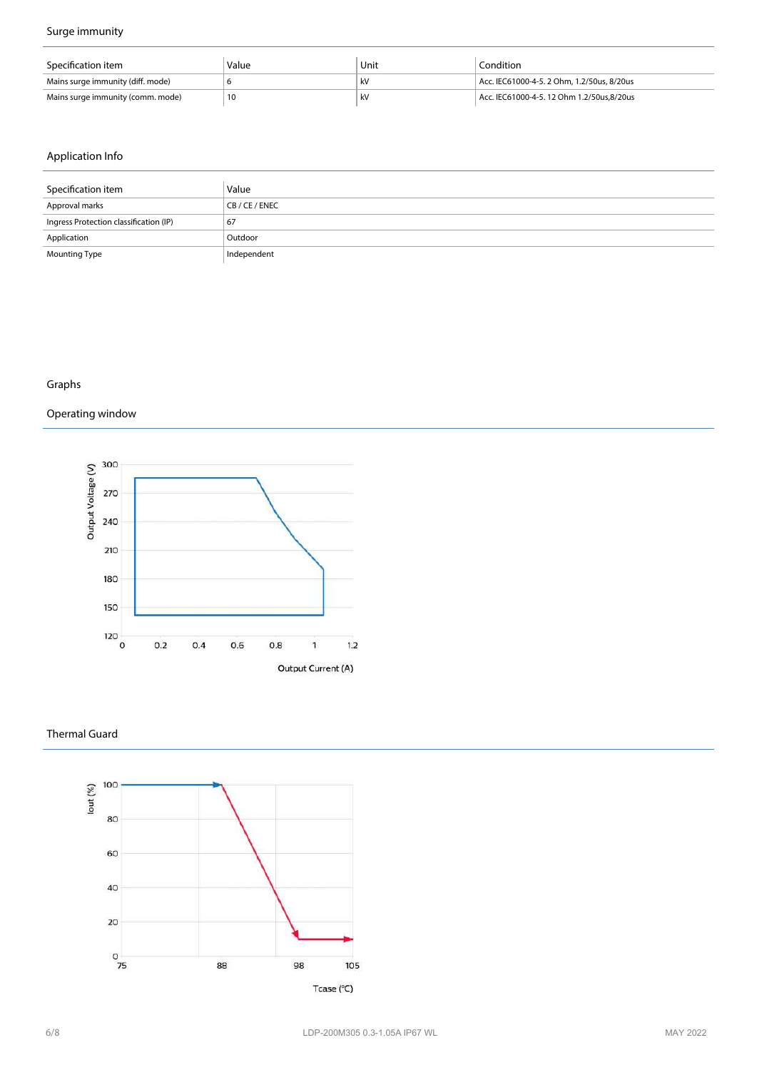## **Surge immunity**

| Specification item                | Value | Unit | Condition                                  |
|-----------------------------------|-------|------|--------------------------------------------|
| Mains surge immunity (diff. mode) |       |      | Acc. IEC61000-4-5. 2 Ohm. 1.2/50us. 8/20us |
| Mains surge immunity (comm. mode) |       |      | Acc. IEC61000-4-5. 12 Ohm 1.2/50us.8/20us  |

## **Application Info**

| Specification item                     | Value       |
|----------------------------------------|-------------|
| Approval marks                         | CB/CE/ENEC  |
| Ingress Protection classification (IP) | 67          |
| Application                            | Outdoor     |
| <b>Mounting Type</b>                   | Independent |

## **Graphs**

# **Operating window**



#### **Thermal Guard**



Tcase (°C)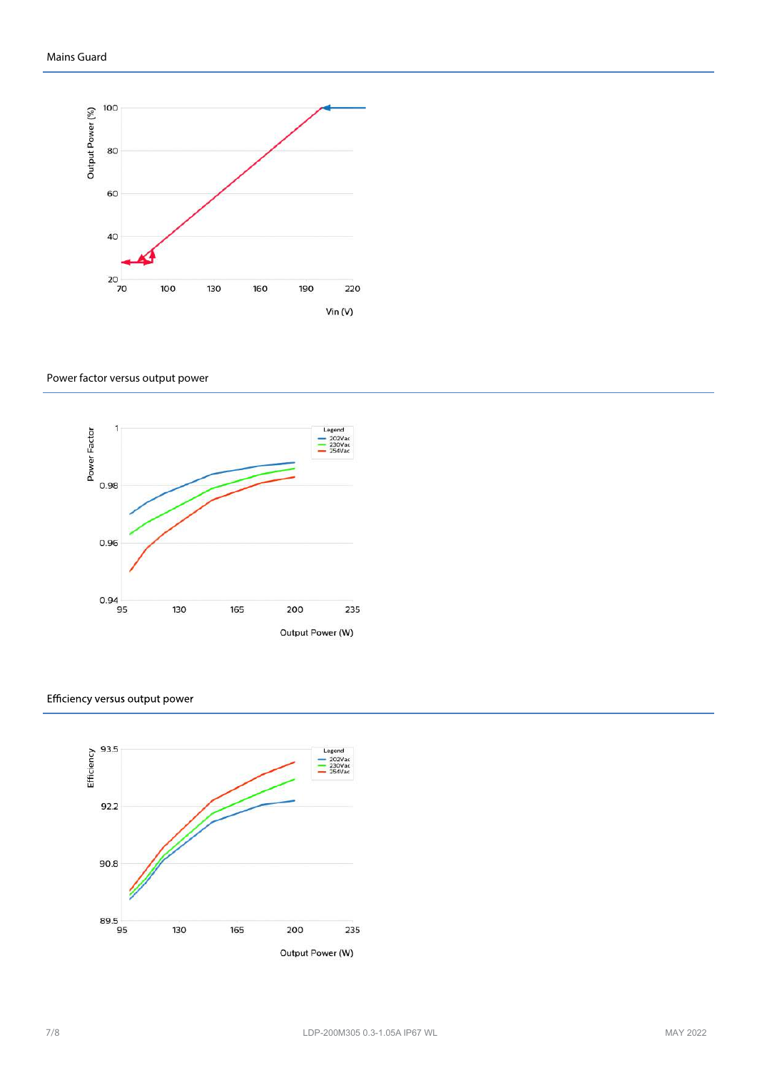

#### **Power factor versus output power**



#### Efficiency versus output power